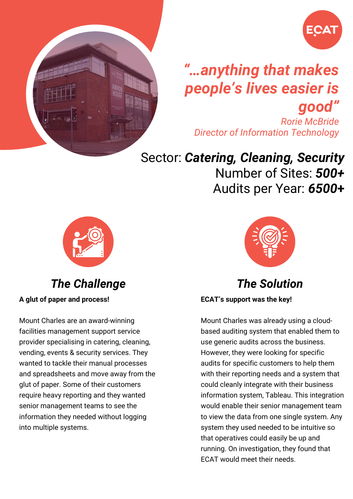

## *"…anything that makes people's lives easier is good"*

*Rorie McBride Director of Information Technology*

### Sector: *Catering, Cleaning, Security*

Number of Sites: *500+* Audits per Year: *6500***+**



*The Challenge*

**A glut of paper and process!**

Mount Charles are an award-winning facilities management support service provider specialising in catering, cleaning, vending, events & security services. They wanted to tackle their manual processes and spreadsheets and move away from the glut of paper. Some of their customers require heavy reporting and they wanted senior management teams to see the information they needed without logging into multiple systems.



*The Solution*

**ECAT's support was the key!**

Mount Charles was already using a cloudbased auditing system that enabled them to use generic audits across the business. However, they were looking for specific audits for specific customers to help them with their reporting needs and a system that could cleanly integrate with their business information system, Tableau. This integration would enable their senior management team to view the data from one single system. Any system they used needed to be intuitive so that operatives could easily be up and running. On investigation, they found that ECAT would meet their needs.